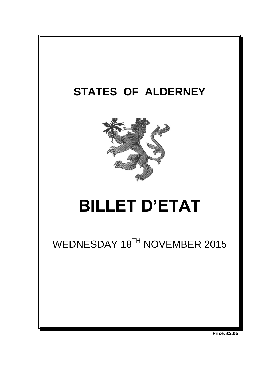

**Price: £2.05**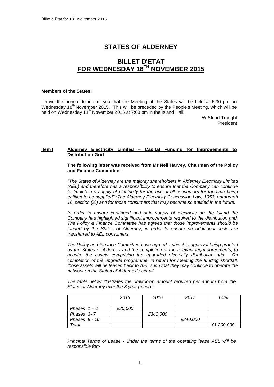# **STATES OF ALDERNEY**

## **BILLET D'ETAT FOR WEDNESDAY 18TH NOVEMBER 2015**

#### **Members of the States:**

I have the honour to inform you that the Meeting of the States will be held at 5:30 pm on Wednesday  $18<sup>th</sup>$  November 2015. This will be preceded by the People's Meeting, which will be held on Wednesday 11<sup>th</sup> November 2015 at 7:00 pm in the Island Hall.

> W Stuart Trought **President**

## **Item I Alderney Electricity Limited – Capital Funding for Improvements to Distribution Grid**

#### **The following letter was received from Mr Neil Harvey, Chairman of the Policy and Finance Committee:-**

*"The States of Alderney are the majority shareholders in Alderney Electricity Limited (AEL) and therefore has a responsibility to ensure that the Company can continue*  to "maintain a supply of electricity for the use of all consumers for the time being *entitled to be supplied" (The Alderney Electricity Concession Law, 1953, paragraph 16, section (2)) and for those consumers that may become so entitled in the future.*

In order to ensure continued and safe supply of electricity on the Island the *Company has highlighted significant improvements required to the distribution grid. The Policy & Finance Committee has agreed that those improvements should be funded by the States of Alderney, in order to ensure no additional costs are transferred to AEL consumers.*

*The Policy and Finance Committee have agreed, subject to approval being granted by the States of Alderney and the completion of the relevant legal agreements, to acquire the assets comprising the upgraded electricity distribution grid. On completion of the upgrade programme, in return for meeting the funding shortfall, those assets will be leased back to AEL such that they may continue to operate the network on the States of Alderney's behalf.*

*The table below illustrates the drawdown amount required per annum from the States of Alderney over the 3 year period:-*

|                 | 2015    | 2016     | 2017     | Total      |
|-----------------|---------|----------|----------|------------|
|                 |         |          |          |            |
| Phases $1 - 2$  | £20,000 |          |          |            |
| Phases 3-7      |         | £340.000 |          |            |
| Phases $8 - 10$ |         |          | £840,000 |            |
| Total           |         |          |          | £1,200,000 |

*Principal Terms of Lease - Under the terms of the operating lease AEL will be responsible for:-*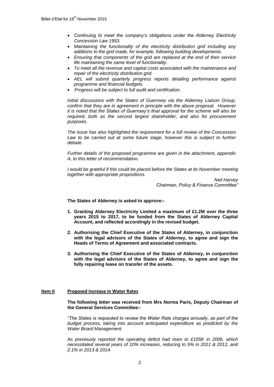- *Continuing to meet the company's obligations under the Alderney Electricity Concession Law 1953.*
- *Maintaining the functionality of the electricity distribution grid including any additions to the grid made, for example, following building developments.*
- *Ensuring that components of the grid are replaced at the end of their service life maintaining the same level of functionality.*
- *To meet all the revenue and capital costs associated with the maintenance and repair of the electricity distribution grid.*
- *AEL will submit quarterly progress reports detailing performance against programme and financial budgets.*
- *Progress will be subject to full audit and certification.*

*Initial discussions with the States of Guernsey via the Alderney Liaison Group, confirm that they are in agreement in principle with the above proposal. However it is noted that the States of Guernsey's final approval for the scheme will also be required, both as the second largest shareholder, and also for procurement purposes.*

*The issue has also highlighted the requirement for a full review of the Concession*  Law to be carried out at some future stage, however this is subject to further *debate.*

*Further details of the proposed programme are given in the attachment, appendix A, to this letter of recommendation.*

*I* would be grateful if this could be placed before the States at its November meeting *together with appropriate propositions.*

> *Neil Harvey Chairman, Policy & Finance Committee"*

**The States of Alderney is asked to approve:-**

- **1. Granting Alderney Electricity Limited a maximum of £1.2M over the three years 2015 to 2017, to be funded from the States of Alderney Capital Account, and reflected accordingly in the revised budget.**
- **2. Authorising the Chief Executive of the States of Alderney, in conjunction with the legal advisors of the States of Alderney, to agree and sign the Heads of Terms of Agreement and associated contracts.**
- **3. Authorising the Chief Executive of the States of Alderney, in conjunction with the legal advisors of the States of Alderney, to agree and sign the fully repairing lease on transfer of the assets.**

#### **Item II Proposed increase in Water Rates**

**The following letter was received from Mrs Norma Paris, Deputy Chairman of the General Services Committee:-**

*"The States is requested to review the Water Rate charges annually, as part of the budget process, taking into account anticipated expenditure as predicted by the Water Board Management.* 

*As previously reported the operating deficit had risen to £105K in 2006, which necessitated several years of 10% increases, reducing to 5% in 2011 & 2012, and 2.1% in 2013 & 2014.*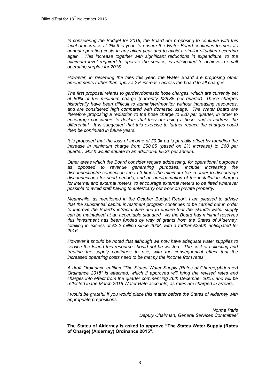*In considering the Budget for 2016, the Board are proposing to continue with this level of increase at 2% this year, to ensure the Water Board continues to meet its annual operating costs in any given year and to avoid a similar situation occurring again. This increase together with significant reductions in expenditure, to the minimum level required to operate the service, is anticipated to achieve a small operating surplus for 2016.*

*However, in reviewing the fees this year, the Water Board are proposing other amendments rather than apply a 2% increase across the board to all charges.* 

*The first proposal relates to garden/domestic hose charges, which are currently set at 50% of the minimum charge (currently £28.85 per quarter). These charges historically have been difficult to administer/monitor without increasing resources, and are considered high compared with domestic usage. The Water Board are therefore proposing a reduction to the hose charge to £20 per quarter, in order to encourage consumers to declare that they are using a hose, and to address the differential. It is suggested that this exercise to further reduce the charges could then be continued in future years.* 

*It is proposed that the loss of income of £9.9k pa is partially offset by rounding the increase in minimum charge from £58.85 (based on 2% increase) to £60 per quarter, which would equate to an additional £5.3k per annum.* 

*Other areas which the Board consider require addressing, for operational purposes as opposed to revenue generating purposes, include increasing the disconnection/re-connection fee to 3 times the minimum fee in order to discourage disconnections for short periods, and an amalgamation of the installation charges for internal and external meters, to encourage external meters to be fitted wherever possible to avoid staff having to enter/carry out work on private property.*

*Meanwhile, as mentioned in the October Budget Report, I am pleased to advise that the substantial capital investment program continues to be carried out in order to improve the Board's infrastructure and to ensure that the island's water supply can be maintained at an acceptable standard. As the Board has minimal reserves this investment has been funded by way of grants from the States of Alderney, totalling in excess of £2.2 million since 2008, with a further £250K anticipated for 2016.* 

*However it should be noted that although we now have adequate water supplies to service the Island this resource should not be wasted. The cost of collecting and treating the supply continues to rise, with the consequential effect that the increased operating costs need to be met by the income from rates.* 

*A draft Ordinance entitled "The States Water Supply (Rates of Charge)(Alderney) Ordinance 2015" is attached, which if approved will bring the revised rates and charges into effect from the quarter commencing 26th December 2015, and will be reflected in the March 2016 Water Rate accounts, as rates are charged in arrears.*

*I would be grateful if you would place this matter before the States of Alderney with appropriate propositions.*

> *Norma Paris Deputy Chairman, General Services Committee"*

**The States of Alderney is asked to approve "The States Water Supply (Rates of Charge) (Alderney) Ordinance 2015".**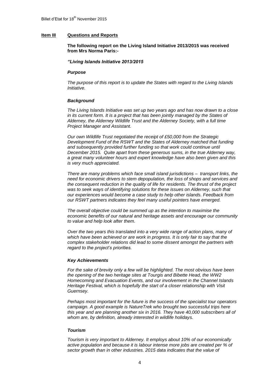### **Item III Questions and Reports**

**The following report on the Living Island Initiative 2013/2015 was received from Mrs Norma Paris:-**

#### *"Living Islands Initiative 2013/2015*

#### *Purpose*

*The purpose of this report is to update the States with regard to the Living Islands Initiative.*

#### *Background*

*The Living Islands Initiative was set up two years ago and has now drawn to a close in its current form. It is a project that has been jointly managed by the States of Alderney, the Alderney Wildlife Trust and the Alderney Society, with a full time Project Manager and Assistant.*

*Our own Wildlife Trust negotiated the receipt of £50,000 from the Strategic Development Fund of the RSWT and the States of Alderney matched that funding and subsequently provided further funding so that work could continue until December 2015. Quite apart from these generous sums, in the true Alderney way, a great many volunteer hours and expert knowledge have also been given and this is very much appreciated.*

*There are many problems which face small island jurisdictions – transport links, the need for economic drivers to stem depopulation, the loss of shops and services and the consequent reduction in the quality of life for residents. The thrust of the project was to seek ways of identifying solutions for these issues on Alderney, such that our experiences would become a case study to help other islands. Feedback from our RSWT partners indicates they feel many useful pointers have emerged.*

*The overall objective could be summed up as the intention to maximise the economic benefits of our natural and heritage assets and encourage our community to value and help look after them.*

*Over the two years this translated into a very wide range of action plans, many of which have been achieved or are work in progress. It is only fair to say that the complex stakeholder relations did lead to some dissent amongst the partners with regard to the project's priorities.*

#### *Key Achievements*

*For the sake of brevity only a few will be highlighted. The most obvious have been the opening of the two heritage sites at Tourgis and Bibette Head, the WW2 Homecoming and Evacuation Events, and our involvement in the Channel Islands Heritage Festival, which is hopefully the start of a closer relationship with Visit Guernsey.*

*Perhaps most important for the future is the success of the specialist tour operators campaign. A good example is NatureTrek who brought two successful trips here this year and are planning another six in 2016. They have 40,000 subscribers all of whom are, by definition, already interested in wildlife holidays.*

#### *Tourism*

*Tourism is very important to Alderney. It employs about 10% of our economically active population and because it is labour intense more jobs are created per % of sector growth than in other industries. 2015 data indicates that the value of*